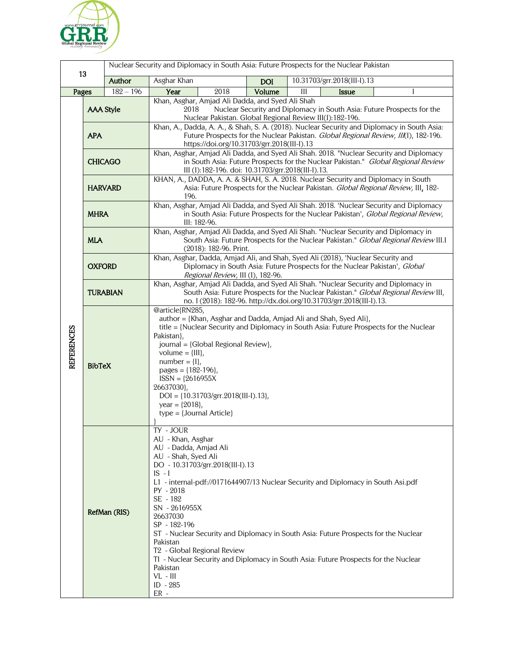

| 13                |                  |             | Nuclear Security and Diplomacy in South Asia: Future Prospects for the Nuclear Pakistan                                                                                                                                                                                                                                                                                                                                                                                                                                                                                          |
|-------------------|------------------|-------------|----------------------------------------------------------------------------------------------------------------------------------------------------------------------------------------------------------------------------------------------------------------------------------------------------------------------------------------------------------------------------------------------------------------------------------------------------------------------------------------------------------------------------------------------------------------------------------|
|                   |                  | Author      | 10.31703/grr.2018(III-I).13<br>Asghar Khan<br><b>DOI</b>                                                                                                                                                                                                                                                                                                                                                                                                                                                                                                                         |
| Pages             |                  | $182 - 196$ | Year<br>Volume<br>2018<br>Ш<br><b>Issue</b>                                                                                                                                                                                                                                                                                                                                                                                                                                                                                                                                      |
| <b>REFERENCES</b> | <b>AAA Style</b> |             | Khan, Asghar, Amjad Ali Dadda, and Syed Ali Shah<br>Nuclear Security and Diplomacy in South Asia: Future Prospects for the<br>2018<br>Nuclear Pakistan. Global Regional Review III(I):182-196.                                                                                                                                                                                                                                                                                                                                                                                   |
|                   | <b>APA</b>       |             | Khan, A., Dadda, A. A., & Shah, S. A. (2018). Nuclear Security and Diplomacy in South Asia:<br>Future Prospects for the Nuclear Pakistan. Global Regional Review, III(I), 182-196.<br>https://doi.org/10.31703/grr.2018(III-I).13                                                                                                                                                                                                                                                                                                                                                |
|                   | <b>CHICAGO</b>   |             | Khan, Asghar, Amjad Ali Dadda, and Syed Ali Shah. 2018. "Nuclear Security and Diplomacy<br>in South Asia: Future Prospects for the Nuclear Pakistan." Global Regional Review<br>III (I):182-196. doi: 10.31703/grr.2018(III-I).13.                                                                                                                                                                                                                                                                                                                                               |
|                   | <b>HARVARD</b>   |             | KHAN, A., DADDA, A. A. & SHAH, S. A. 2018. Nuclear Security and Diplomacy in South<br>Asia: Future Prospects for the Nuclear Pakistan. Global Regional Review, III, 182-<br>196.                                                                                                                                                                                                                                                                                                                                                                                                 |
|                   | <b>MHRA</b>      |             | Khan, Asghar, Amjad Ali Dadda, and Syed Ali Shah. 2018. 'Nuclear Security and Diplomacy<br>in South Asia: Future Prospects for the Nuclear Pakistan', Global Regional Review,<br>III: 182-96.                                                                                                                                                                                                                                                                                                                                                                                    |
|                   | <b>MLA</b>       |             | Khan, Asghar, Amjad Ali Dadda, and Syed Ali Shah. "Nuclear Security and Diplomacy in<br>South Asia: Future Prospects for the Nuclear Pakistan." Global Regional Review III.I<br>(2018): 182-96. Print.                                                                                                                                                                                                                                                                                                                                                                           |
|                   | <b>OXFORD</b>    |             | Khan, Asghar, Dadda, Amjad Ali, and Shah, Syed Ali (2018), 'Nuclear Security and<br>Diplomacy in South Asia: Future Prospects for the Nuclear Pakistan', Global<br>Regional Review, III (I), 182-96.                                                                                                                                                                                                                                                                                                                                                                             |
|                   | <b>TURABIAN</b>  |             | Khan, Asghar, Amjad Ali Dadda, and Syed Ali Shah. "Nuclear Security and Diplomacy in<br>South Asia: Future Prospects for the Nuclear Pakistan." Global Regional Review III,<br>no. I (2018): 182-96. http://dx.doi.org/10.31703/grr.2018(III-I).13.                                                                                                                                                                                                                                                                                                                              |
|                   | <b>BibTeX</b>    |             | @article{RN285,<br>author = {Khan, Asghar and Dadda, Amjad Ali and Shah, Syed Ali},<br>title = {Nuclear Security and Diplomacy in South Asia: Future Prospects for the Nuclear<br>Pakistan},<br>journal = {Global Regional Review},<br>volume = ${III}$ ,<br>$number = \{I\},\$<br>pages = ${182-196}$ ,<br>$ISSN = {2616955X}$<br>26637030},<br>DOI = {10.31703/grr.2018(III-I).13},<br>year = ${2018}$ ,<br>$type = {Journal Article}$                                                                                                                                         |
|                   | RefMan (RIS)     |             | TY - JOUR<br>AU - Khan, Asghar<br>AU - Dadda, Amjad Ali<br>AU - Shah, Syed Ali<br>DO - 10.31703/grr.2018(III-I).13<br>$IS - I$<br>L1 - internal-pdf://0171644907/13 Nuclear Security and Diplomacy in South Asi.pdf<br>PY - 2018<br>SE - 182<br>SN - 2616955X<br>26637030<br>SP - 182-196<br>ST - Nuclear Security and Diplomacy in South Asia: Future Prospects for the Nuclear<br>Pakistan<br>T <sub>2</sub> - Global Regional Review<br>TI - Nuclear Security and Diplomacy in South Asia: Future Prospects for the Nuclear<br>Pakistan<br>$VL$ - $III$<br>ID - 285<br>$ER -$ |